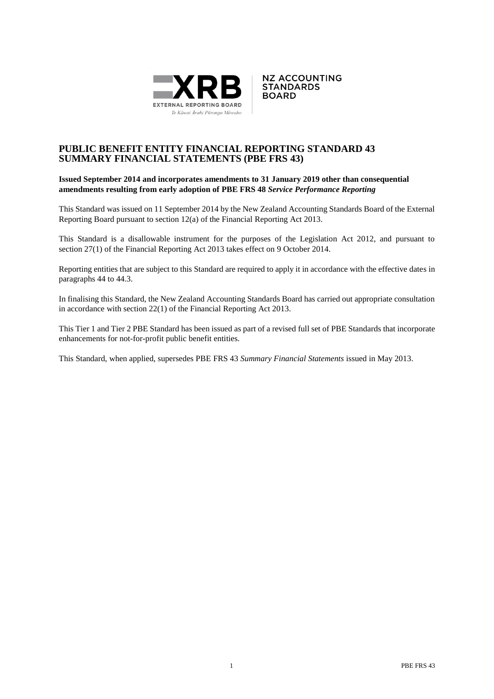



## **PUBLIC BENEFIT ENTITY FINANCIAL REPORTING STANDARD 43 SUMMARY FINANCIAL STATEMENTS (PBE FRS 43)**

### **Issued September 2014 and incorporates amendments to 31 January 2019 other than consequential amendments resulting from early adoption of PBE FRS 48** *Service Performance Reporting*

This Standard was issued on 11 September 2014 by the New Zealand Accounting Standards Board of the External Reporting Board pursuant to section 12(a) of the Financial Reporting Act 2013.

This Standard is a disallowable instrument for the purposes of the Legislation Act 2012, and pursuant to section 27(1) of the Financial Reporting Act 2013 takes effect on 9 October 2014.

Reporting entities that are subject to this Standard are required to apply it in accordance with the effective dates in paragraphs 44 to 44.3.

In finalising this Standard, the New Zealand Accounting Standards Board has carried out appropriate consultation in accordance with section 22(1) of the Financial Reporting Act 2013.

This Tier 1 and Tier 2 PBE Standard has been issued as part of a revised full set of PBE Standards that incorporate enhancements for not-for-profit public benefit entities.

This Standard, when applied, supersedes PBE FRS 43 *Summary Financial Statements* issued in May 2013.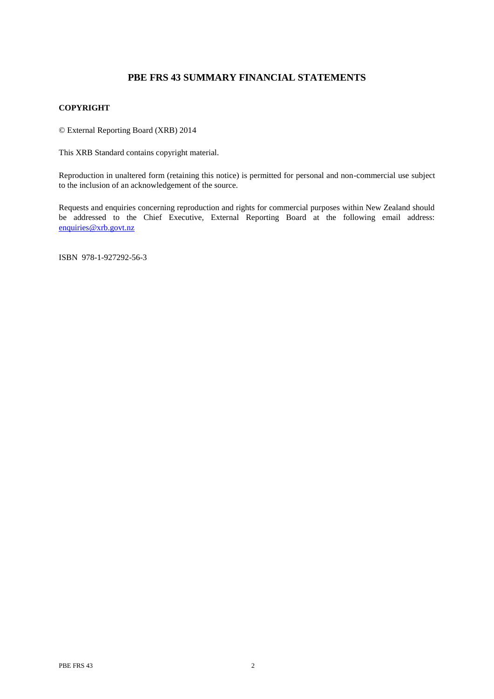# **PBE FRS 43 SUMMARY FINANCIAL STATEMENTS**

## **COPYRIGHT**

© External Reporting Board (XRB) 2014

This XRB Standard contains copyright material.

Reproduction in unaltered form (retaining this notice) is permitted for personal and non-commercial use subject to the inclusion of an acknowledgement of the source.

Requests and enquiries concerning reproduction and rights for commercial purposes within New Zealand should be addressed to the Chief Executive, External Reporting Board at the following email address: [enquiries@xrb.govt.nz](mailto:enquiries@xrb.govt.nz)

ISBN 978-1-927292-56-3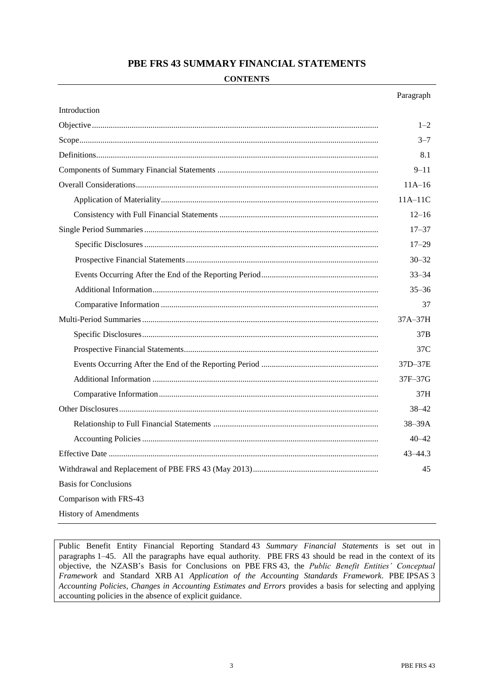## **PBE FRS 43 SUMMARY FINANCIAL STATEMENTS**

### **CONTENTS**

|                              | Paragraph |  |
|------------------------------|-----------|--|
| Introduction                 |           |  |
|                              | $1 - 2$   |  |
|                              | $3 - 7$   |  |
|                              | 8.1       |  |
|                              |           |  |
|                              |           |  |
|                              | $11A-11C$ |  |
|                              | $12 - 16$ |  |
|                              | $17 - 37$ |  |
|                              | $17 - 29$ |  |
|                              | $30 - 32$ |  |
|                              | $33 - 34$ |  |
|                              | $35 - 36$ |  |
|                              | 37        |  |
|                              | $37A-37H$ |  |
|                              | 37B       |  |
|                              | 37C       |  |
|                              | 37D-37E   |  |
|                              | 37F–37G   |  |
|                              | 37H       |  |
|                              | $38 - 42$ |  |
|                              | 38-39A    |  |
|                              | $40 - 42$ |  |
|                              | 43-44.3   |  |
|                              |           |  |
| <b>Basis for Conclusions</b> |           |  |
| Comparison with FRS-43       |           |  |
| <b>History of Amendments</b> |           |  |

Public Benefit Entity Financial Reporting Standard 43 *Summary Financial Statements* is set out in paragraphs 1–45. All the paragraphs have equal authority. PBE FRS 43 should be read in the context of its objective, the NZASB's Basis for Conclusions on PBE FRS 43, the *Public Benefit Entities' Conceptual Framework* and Standard XRB A1 *Application of the Accounting Standards Framework*. PBE IPSAS 3 *Accounting Policies, Changes in Accounting Estimates and Errors* provides a basis for selecting and applying accounting policies in the absence of explicit guidance.

Paragraph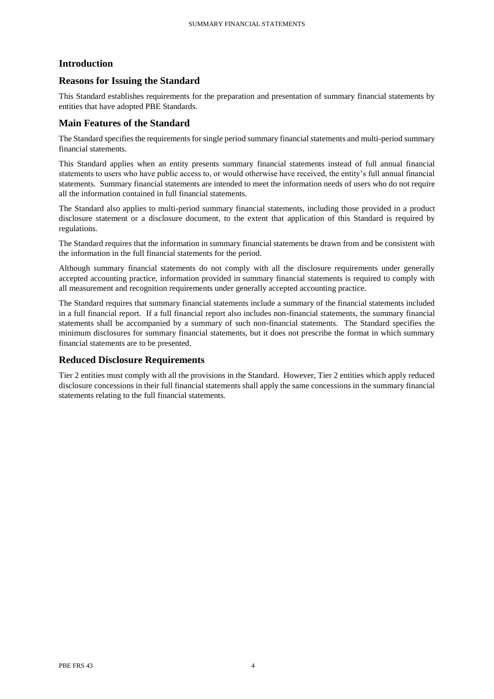## **Introduction**

## **Reasons for Issuing the Standard**

This Standard establishes requirements for the preparation and presentation of summary financial statements by entities that have adopted PBE Standards.

## **Main Features of the Standard**

The Standard specifies the requirements for single period summary financial statements and multi-period summary financial statements.

This Standard applies when an entity presents summary financial statements instead of full annual financial statements to users who have public access to, or would otherwise have received, the entity's full annual financial statements. Summary financial statements are intended to meet the information needs of users who do not require all the information contained in full financial statements.

The Standard also applies to multi-period summary financial statements, including those provided in a product disclosure statement or a disclosure document, to the extent that application of this Standard is required by regulations.

The Standard requires that the information in summary financial statements be drawn from and be consistent with the information in the full financial statements for the period.

Although summary financial statements do not comply with all the disclosure requirements under generally accepted accounting practice, information provided in summary financial statements is required to comply with all measurement and recognition requirements under generally accepted accounting practice.

The Standard requires that summary financial statements include a summary of the financial statements included in a full financial report. If a full financial report also includes non-financial statements, the summary financial statements shall be accompanied by a summary of such non-financial statements. The Standard specifies the minimum disclosures for summary financial statements, but it does not prescribe the format in which summary financial statements are to be presented.

## **Reduced Disclosure Requirements**

Tier 2 entities must comply with all the provisions in the Standard. However, Tier 2 entities which apply reduced disclosure concessions in their full financial statements shall apply the same concessions in the summary financial statements relating to the full financial statements.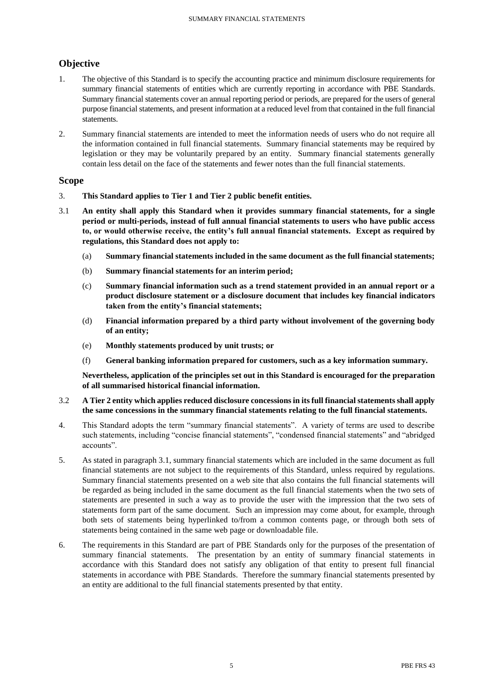# **Objective**

- 1. The objective of this Standard is to specify the accounting practice and minimum disclosure requirements for summary financial statements of entities which are currently reporting in accordance with PBE Standards. Summary financial statements cover an annual reporting period or periods, are prepared for the users of general purpose financial statements, and present information at a reduced level from that contained in the full financial statements.
- 2. Summary financial statements are intended to meet the information needs of users who do not require all the information contained in full financial statements. Summary financial statements may be required by legislation or they may be voluntarily prepared by an entity. Summary financial statements generally contain less detail on the face of the statements and fewer notes than the full financial statements.

## **Scope**

- 3. **This Standard applies to Tier 1 and Tier 2 public benefit entities.**
- 3.1 **An entity shall apply this Standard when it provides summary financial statements, for a single period or multi-periods, instead of full annual financial statements to users who have public access to, or would otherwise receive, the entity's full annual financial statements. Except as required by regulations, this Standard does not apply to:**
	- (a) **Summary financial statements included in the same document as the full financial statements;**
	- (b) **Summary financial statements for an interim period;**
	- (c) **Summary financial information such as a trend statement provided in an annual report or a product disclosure statement or a disclosure document that includes key financial indicators taken from the entity's financial statements;**
	- (d) **Financial information prepared by a third party without involvement of the governing body of an entity;**
	- (e) **Monthly statements produced by unit trusts; or**
	- (f) **General banking information prepared for customers, such as a key information summary.**

**Nevertheless, application of the principles set out in this Standard is encouraged for the preparation of all summarised historical financial information.**

### 3.2 **A Tier 2 entity which applies reduced disclosure concessions in itsfull financial statements shall apply the same concessions in the summary financial statements relating to the full financial statements.**

- 4. This Standard adopts the term "summary financial statements". A variety of terms are used to describe such statements, including "concise financial statements", "condensed financial statements" and "abridged accounts".
- 5. As stated in paragraph 3.1, summary financial statements which are included in the same document as full financial statements are not subject to the requirements of this Standard, unless required by regulations. Summary financial statements presented on a web site that also contains the full financial statements will be regarded as being included in the same document as the full financial statements when the two sets of statements are presented in such a way as to provide the user with the impression that the two sets of statements form part of the same document. Such an impression may come about, for example, through both sets of statements being hyperlinked to/from a common contents page, or through both sets of statements being contained in the same web page or downloadable file.
- 6. The requirements in this Standard are part of PBE Standards only for the purposes of the presentation of summary financial statements. The presentation by an entity of summary financial statements in accordance with this Standard does not satisfy any obligation of that entity to present full financial statements in accordance with PBE Standards. Therefore the summary financial statements presented by an entity are additional to the full financial statements presented by that entity.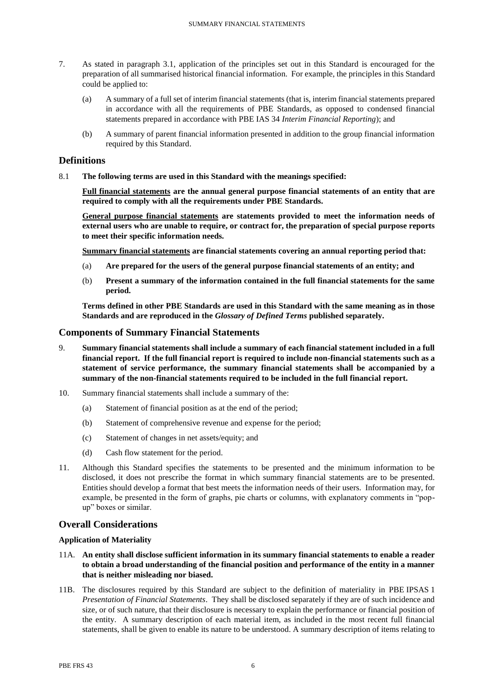- 7. As stated in paragraph 3.1, application of the principles set out in this Standard is encouraged for the preparation of all summarised historical financial information. For example, the principles in this Standard could be applied to:
	- (a) A summary of a full set of interim financial statements (that is, interim financial statements prepared in accordance with all the requirements of PBE Standards, as opposed to condensed financial statements prepared in accordance with PBE IAS 34 *Interim Financial Reporting*); and
	- (b) A summary of parent financial information presented in addition to the group financial information required by this Standard.

## **Definitions**

8.1 **The following terms are used in this Standard with the meanings specified:**

**Full financial statements are the annual general purpose financial statements of an entity that are required to comply with all the requirements under PBE Standards.**

**General purpose financial statements are statements provided to meet the information needs of external users who are unable to require, or contract for, the preparation of special purpose reports to meet their specific information needs.**

**Summary financial statements are financial statements covering an annual reporting period that:**

- (a) **Are prepared for the users of the general purpose financial statements of an entity; and**
- (b) **Present a summary of the information contained in the full financial statements for the same period.**

**Terms defined in other PBE Standards are used in this Standard with the same meaning as in those Standards and are reproduced in the** *Glossary of Defined Terms* **published separately.**

### **Components of Summary Financial Statements**

- 9. **Summary financial statements shall include a summary of each financial statement included in a full financial report. If the full financial report is required to include non-financial statements such as a statement of service performance, the summary financial statements shall be accompanied by a summary of the non-financial statements required to be included in the full financial report.**
- 10. Summary financial statements shall include a summary of the:
	- (a) Statement of financial position as at the end of the period;
	- (b) Statement of comprehensive revenue and expense for the period;
	- (c) Statement of changes in net assets/equity; and
	- (d) Cash flow statement for the period.
- 11. Although this Standard specifies the statements to be presented and the minimum information to be disclosed, it does not prescribe the format in which summary financial statements are to be presented. Entities should develop a format that best meets the information needs of their users. Information may, for example, be presented in the form of graphs, pie charts or columns, with explanatory comments in "popup" boxes or similar.

## **Overall Considerations**

### **Application of Materiality**

- 11A. **An entity shall disclose sufficient information in its summary financial statements to enable a reader to obtain a broad understanding of the financial position and performance of the entity in a manner that is neither misleading nor biased.**
- 11B. The disclosures required by this Standard are subject to the definition of materiality in PBE IPSAS 1 *Presentation of Financial Statements*. They shall be disclosed separately if they are of such incidence and size, or of such nature, that their disclosure is necessary to explain the performance or financial position of the entity. A summary description of each material item, as included in the most recent full financial statements, shall be given to enable its nature to be understood. A summary description of items relating to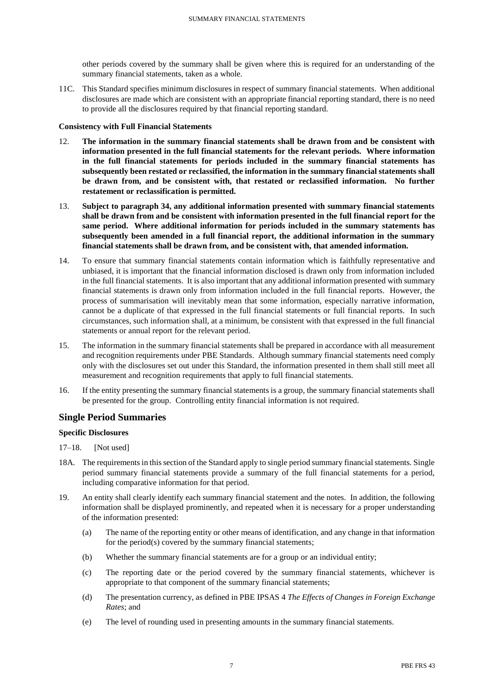other periods covered by the summary shall be given where this is required for an understanding of the summary financial statements, taken as a whole.

11C. This Standard specifies minimum disclosures in respect of summary financial statements. When additional disclosures are made which are consistent with an appropriate financial reporting standard, there is no need to provide all the disclosures required by that financial reporting standard.

### **Consistency with Full Financial Statements**

- 12. **The information in the summary financial statements shall be drawn from and be consistent with information presented in the full financial statements for the relevant periods. Where information in the full financial statements for periods included in the summary financial statements has subsequently been restated or reclassified, the information in the summary financial statements shall be drawn from, and be consistent with, that restated or reclassified information. No further restatement or reclassification is permitted.**
- 13. **Subject to paragraph 34, any additional information presented with summary financial statements shall be drawn from and be consistent with information presented in the full financial report for the same period. Where additional information for periods included in the summary statements has subsequently been amended in a full financial report, the additional information in the summary financial statements shall be drawn from, and be consistent with, that amended information.**
- 14. To ensure that summary financial statements contain information which is faithfully representative and unbiased, it is important that the financial information disclosed is drawn only from information included in the full financial statements. It is also important that any additional information presented with summary financial statements is drawn only from information included in the full financial reports. However, the process of summarisation will inevitably mean that some information, especially narrative information, cannot be a duplicate of that expressed in the full financial statements or full financial reports. In such circumstances, such information shall, at a minimum, be consistent with that expressed in the full financial statements or annual report for the relevant period.
- 15. The information in the summary financial statements shall be prepared in accordance with all measurement and recognition requirements under PBE Standards. Although summary financial statements need comply only with the disclosures set out under this Standard, the information presented in them shall still meet all measurement and recognition requirements that apply to full financial statements.
- 16. If the entity presenting the summary financial statements is a group, the summary financial statements shall be presented for the group. Controlling entity financial information is not required.

## **Single Period Summaries**

### **Specific Disclosures**

- 17–18. [Not used]
- 18A. The requirements in this section of the Standard apply to single period summary financial statements. Single period summary financial statements provide a summary of the full financial statements for a period, including comparative information for that period.
- 19. An entity shall clearly identify each summary financial statement and the notes. In addition, the following information shall be displayed prominently, and repeated when it is necessary for a proper understanding of the information presented:
	- (a) The name of the reporting entity or other means of identification, and any change in that information for the period(s) covered by the summary financial statements;
	- (b) Whether the summary financial statements are for a group or an individual entity;
	- (c) The reporting date or the period covered by the summary financial statements, whichever is appropriate to that component of the summary financial statements;
	- (d) The presentation currency, as defined in PBE IPSAS 4 *The Effects of Changes in Foreign Exchange Rates*; and
	- (e) The level of rounding used in presenting amounts in the summary financial statements.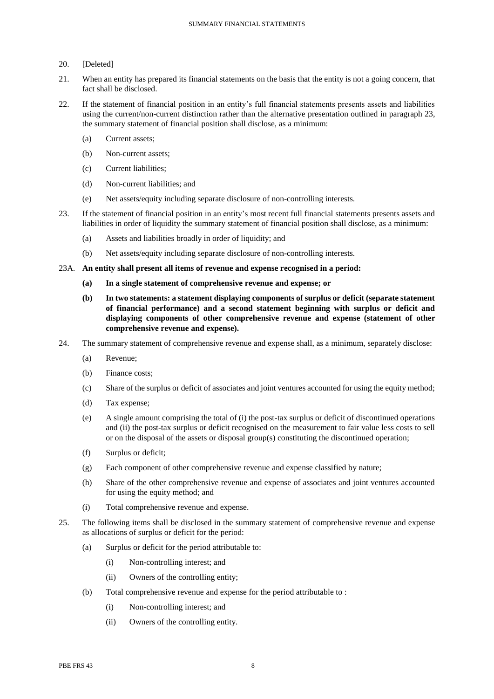### 20. [Deleted]

- 21. When an entity has prepared its financial statements on the basis that the entity is not a going concern, that fact shall be disclosed.
- 22. If the statement of financial position in an entity's full financial statements presents assets and liabilities using the current/non-current distinction rather than the alternative presentation outlined in paragraph 23, the summary statement of financial position shall disclose, as a minimum:
	- (a) Current assets;
	- (b) Non-current assets;
	- (c) Current liabilities;
	- (d) Non-current liabilities; and
	- (e) Net assets/equity including separate disclosure of non-controlling interests.
- 23. If the statement of financial position in an entity's most recent full financial statements presents assets and liabilities in order of liquidity the summary statement of financial position shall disclose, as a minimum:
	- (a) Assets and liabilities broadly in order of liquidity; and
	- (b) Net assets/equity including separate disclosure of non-controlling interests.
- 23A. **An entity shall present all items of revenue and expense recognised in a period:** 
	- **(a) In a single statement of comprehensive revenue and expense; or**
	- **(b) In two statements: a statement displaying components of surplus or deficit (separate statement of financial performance) and a second statement beginning with surplus or deficit and displaying components of other comprehensive revenue and expense (statement of other comprehensive revenue and expense).**
- 24. The summary statement of comprehensive revenue and expense shall, as a minimum, separately disclose:
	- (a) Revenue;
	- (b) Finance costs;
	- (c) Share of the surplus or deficit of associates and joint ventures accounted for using the equity method;
	- (d) Tax expense;
	- (e) A single amount comprising the total of (i) the post-tax surplus or deficit of discontinued operations and (ii) the post-tax surplus or deficit recognised on the measurement to fair value less costs to sell or on the disposal of the assets or disposal group(s) constituting the discontinued operation;
	- (f) Surplus or deficit;
	- (g) Each component of other comprehensive revenue and expense classified by nature;
	- (h) Share of the other comprehensive revenue and expense of associates and joint ventures accounted for using the equity method; and
	- (i) Total comprehensive revenue and expense.
- 25. The following items shall be disclosed in the summary statement of comprehensive revenue and expense as allocations of surplus or deficit for the period:
	- (a) Surplus or deficit for the period attributable to:
		- (i) Non-controlling interest; and
		- (ii) Owners of the controlling entity;
	- (b) Total comprehensive revenue and expense for the period attributable to :
		- (i) Non-controlling interest; and
		- (ii) Owners of the controlling entity.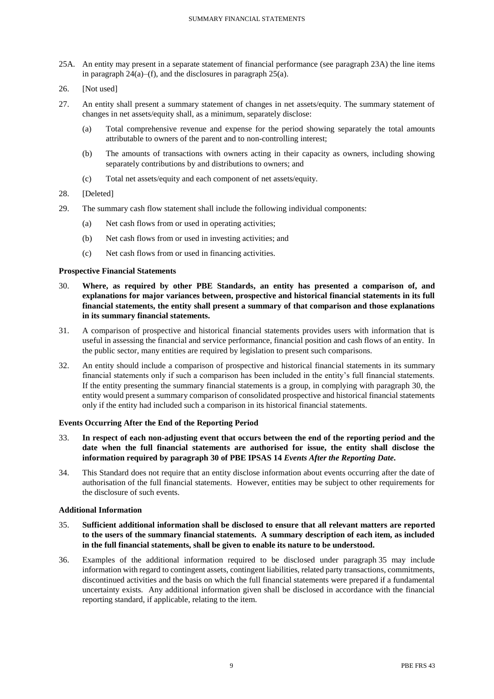- 25A. An entity may present in a separate statement of financial performance (see paragraph 23A) the line items in paragraph  $24(a)$ –(f), and the disclosures in paragraph  $25(a)$ .
- 26. [Not used]
- 27. An entity shall present a summary statement of changes in net assets/equity. The summary statement of changes in net assets/equity shall, as a minimum, separately disclose:
	- (a) Total comprehensive revenue and expense for the period showing separately the total amounts attributable to owners of the parent and to non-controlling interest;
	- (b) The amounts of transactions with owners acting in their capacity as owners, including showing separately contributions by and distributions to owners; and
	- (c) Total net assets/equity and each component of net assets/equity.
- 28. [Deleted]
- 29. The summary cash flow statement shall include the following individual components:
	- (a) Net cash flows from or used in operating activities;
	- (b) Net cash flows from or used in investing activities; and
	- (c) Net cash flows from or used in financing activities.

#### **Prospective Financial Statements**

- 30. **Where, as required by other PBE Standards, an entity has presented a comparison of, and explanations for major variances between, prospective and historical financial statements in its full financial statements, the entity shall present a summary of that comparison and those explanations in its summary financial statements.**
- 31. A comparison of prospective and historical financial statements provides users with information that is useful in assessing the financial and service performance, financial position and cash flows of an entity. In the public sector, many entities are required by legislation to present such comparisons.
- 32. An entity should include a comparison of prospective and historical financial statements in its summary financial statements only if such a comparison has been included in the entity's full financial statements. If the entity presenting the summary financial statements is a group, in complying with paragraph 30, the entity would present a summary comparison of consolidated prospective and historical financial statements only if the entity had included such a comparison in its historical financial statements.

#### **Events Occurring After the End of the Reporting Period**

- 33. **In respect of each non-adjusting event that occurs between the end of the reporting period and the date when the full financial statements are authorised for issue, the entity shall disclose the information required by paragraph 30 of PBE IPSAS 14** *Events After the Reporting Date***.**
- 34. This Standard does not require that an entity disclose information about events occurring after the date of authorisation of the full financial statements. However, entities may be subject to other requirements for the disclosure of such events.

#### **Additional Information**

- 35. **Sufficient additional information shall be disclosed to ensure that all relevant matters are reported to the users of the summary financial statements. A summary description of each item, as included in the full financial statements, shall be given to enable its nature to be understood.**
- 36. Examples of the additional information required to be disclosed under paragraph 35 may include information with regard to contingent assets, contingent liabilities, related party transactions, commitments, discontinued activities and the basis on which the full financial statements were prepared if a fundamental uncertainty exists. Any additional information given shall be disclosed in accordance with the financial reporting standard, if applicable, relating to the item.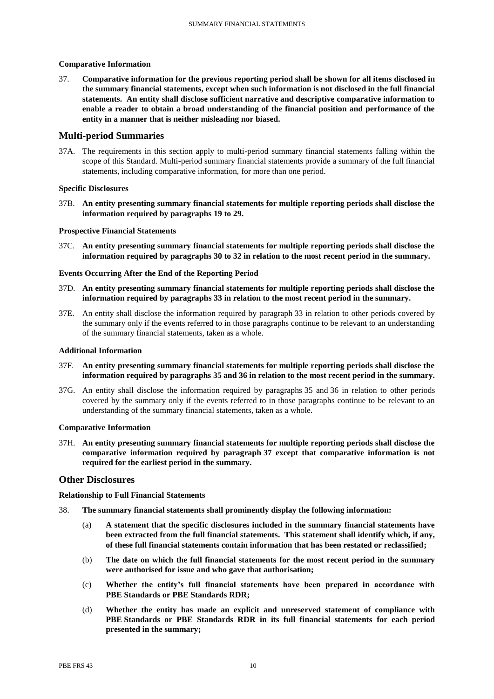### **Comparative Information**

37. **Comparative information for the previous reporting period shall be shown for all items disclosed in the summary financial statements, except when such information is not disclosed in the full financial statements. An entity shall disclose sufficient narrative and descriptive comparative information to enable a reader to obtain a broad understanding of the financial position and performance of the entity in a manner that is neither misleading nor biased.**

### **Multi-period Summaries**

37A. The requirements in this section apply to multi-period summary financial statements falling within the scope of this Standard. Multi-period summary financial statements provide a summary of the full financial statements, including comparative information, for more than one period.

#### **Specific Disclosures**

37B. **An entity presenting summary financial statements for multiple reporting periods shall disclose the information required by paragraphs 19 to 29.**

#### **Prospective Financial Statements**

37C. **An entity presenting summary financial statements for multiple reporting periods shall disclose the information required by paragraphs 30 to 32 in relation to the most recent period in the summary.**

### **Events Occurring After the End of the Reporting Period**

- 37D. **An entity presenting summary financial statements for multiple reporting periods shall disclose the information required by paragraphs 33 in relation to the most recent period in the summary.**
- 37E. An entity shall disclose the information required by paragraph 33 in relation to other periods covered by the summary only if the events referred to in those paragraphs continue to be relevant to an understanding of the summary financial statements, taken as a whole.

#### **Additional Information**

- 37F. **An entity presenting summary financial statements for multiple reporting periods shall disclose the information required by paragraphs 35 and 36 in relation to the most recent period in the summary.**
- 37G. An entity shall disclose the information required by paragraphs 35 and 36 in relation to other periods covered by the summary only if the events referred to in those paragraphs continue to be relevant to an understanding of the summary financial statements, taken as a whole.

#### **Comparative Information**

37H. **An entity presenting summary financial statements for multiple reporting periods shall disclose the comparative information required by paragraph 37 except that comparative information is not required for the earliest period in the summary.** 

### **Other Disclosures**

### **Relationship to Full Financial Statements**

- 38. **The summary financial statements shall prominently display the following information:**
	- (a) **A statement that the specific disclosures included in the summary financial statements have been extracted from the full financial statements. This statement shall identify which, if any, of these full financial statements contain information that has been restated or reclassified;**
	- (b) **The date on which the full financial statements for the most recent period in the summary were authorised for issue and who gave that authorisation;**
	- (c) **Whether the entity's full financial statements have been prepared in accordance with PBE Standards or PBE Standards RDR;**
	- (d) **Whether the entity has made an explicit and unreserved statement of compliance with PBE Standards or PBE Standards RDR in its full financial statements for each period presented in the summary;**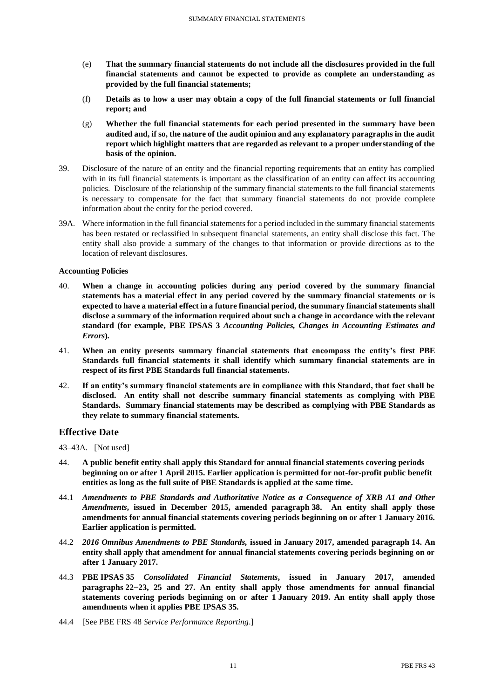- (e) **That the summary financial statements do not include all the disclosures provided in the full financial statements and cannot be expected to provide as complete an understanding as provided by the full financial statements;**
- (f) **Details as to how a user may obtain a copy of the full financial statements or full financial report; and**
- (g) **Whether the full financial statements for each period presented in the summary have been audited and, if so, the nature of the audit opinion and any explanatory paragraphs in the audit report which highlight matters that are regarded as relevant to a proper understanding of the basis of the opinion.**
- 39. Disclosure of the nature of an entity and the financial reporting requirements that an entity has complied with in its full financial statements is important as the classification of an entity can affect its accounting policies. Disclosure of the relationship of the summary financial statements to the full financial statements is necessary to compensate for the fact that summary financial statements do not provide complete information about the entity for the period covered.
- 39A. Where information in the full financial statements for a period included in the summary financial statements has been restated or reclassified in subsequent financial statements, an entity shall disclose this fact. The entity shall also provide a summary of the changes to that information or provide directions as to the location of relevant disclosures.

#### **Accounting Policies**

- 40. **When a change in accounting policies during any period covered by the summary financial statements has a material effect in any period covered by the summary financial statements or is expected to have a material effect in a future financial period, the summary financial statements shall disclose a summary of the information required about such a change in accordance with the relevant standard (for example, PBE IPSAS 3** *Accounting Policies, Changes in Accounting Estimates and Errors***)***.*
- 41. **When an entity presents summary financial statements that encompass the entity's first PBE Standards full financial statements it shall identify which summary financial statements are in respect of its first PBE Standards full financial statements.**
- 42. **If an entity's summary financial statements are in compliance with this Standard, that fact shall be disclosed. An entity shall not describe summary financial statements as complying with PBE Standards. Summary financial statements may be described as complying with PBE Standards as they relate to summary financial statements.**

## **Effective Date**

43–43A. [Not used]

- 44. **A public benefit entity shall apply this Standard for annual financial statements covering periods beginning on or after 1 April 2015. Earlier application is permitted for not-for-profit public benefit entities as long as the full suite of PBE Standards is applied at the same time.**
- 44.1 *Amendments to PBE Standards and Authoritative Notice as a Consequence of XRB A1 and Other Amendments***, issued in December 2015, amended paragraph 38. An entity shall apply those amendments for annual financial statements covering periods beginning on or after 1 January 2016. Earlier application is permitted.**
- 44.2 *2016 Omnibus Amendments to PBE Standards,* **issued in January 2017, amended paragraph 14. An entity shall apply that amendment for annual financial statements covering periods beginning on or after 1 January 2017.**
- 44.3 **PBE IPSAS 35** *Consolidated Financial Statements***, issued in January 2017, amended paragraphs 22−23, 25 and 27. An entity shall apply those amendments for annual financial statements covering periods beginning on or after 1 January 2019. An entity shall apply those amendments when it applies PBE IPSAS 35.**
- 44.4 [See PBE FRS 48 *Service Performance Reporting*.]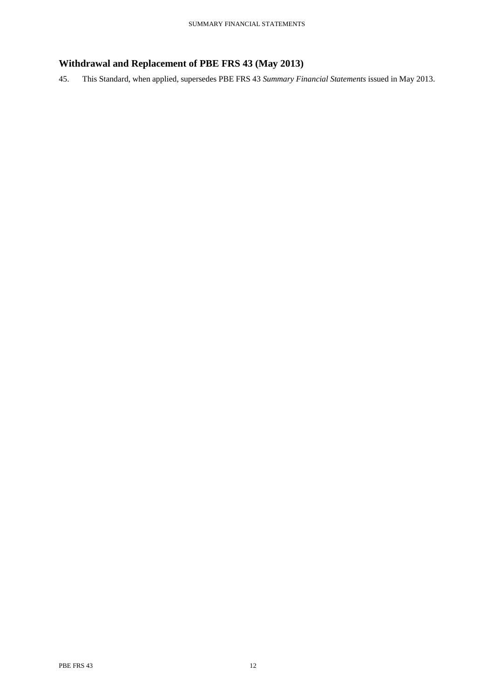# **Withdrawal and Replacement of PBE FRS 43 (May 2013)**

45. This Standard, when applied, supersedes PBE FRS 43 *Summary Financial Statements* issued in May 2013.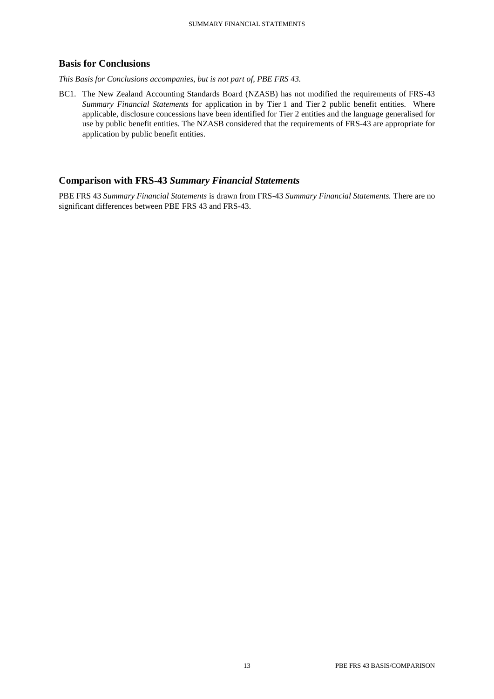## **Basis for Conclusions**

*This Basis for Conclusions accompanies, but is not part of, PBE FRS 43.*

BC1. The New Zealand Accounting Standards Board (NZASB) has not modified the requirements of FRS-43 *Summary Financial Statements* for application in by Tier 1 and Tier 2 public benefit entities. Where applicable, disclosure concessions have been identified for Tier 2 entities and the language generalised for use by public benefit entities. The NZASB considered that the requirements of FRS-43 are appropriate for application by public benefit entities.

## **Comparison with FRS-43** *Summary Financial Statements*

PBE FRS 43 *Summary Financial Statements* is drawn from FRS-43 *Summary Financial Statements.* There are no significant differences between PBE FRS 43 and FRS-43.